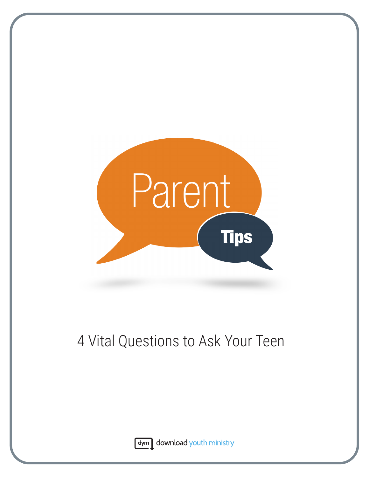

# 4 Vital Questions to Ask Your Teen



dym download youth ministry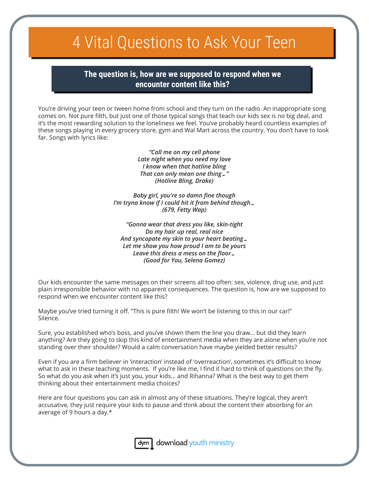## 4 Vital Questions to Ask Your Teen

**The question is, how are we supposed to respond when we encounter content like this?** 

You're driving your teen or tween home from school and they turn on the radio. An inappropriate song comes on. Not pure filth, but just one of those typical songs that teach our kids sex is no big deal, and it's the most rewarding solution to the loneliness we feel. You've probably heard countless examples of these songs playing in every grocery store, gym and Wal Mart across the country. You don't have to look far. Songs with lyrics like:

> *"Call me on my cell phone Late night when you need my love I know when that hotline bling That can only mean one thing…" (Hotline Bling, Drake)*

*Baby girl, you're so damn fine though I'm tryna know if I could hit it from behind though… (679, Fetty Wap)*

*"Gonna wear that dress you like, skin-tight Do my hair up real, real nice And syncopate my skin to your heart beating… Let me show you how proud I am to be yours Leave this dress a mess on the floor… (Good for You, Selena Gomez)*

Our kids encounter the same messages on their screens all too often: sex, violence, drug use, and just plain irresponsible behavior with no apparent consequences. The question is, how are we supposed to respond when we encounter content like this?

Maybe you've tried turning it off. "This is pure filth! We won't be listening to this in our car!" Silence.

Sure, you established who's boss, and you've shown them the line you draw… but did they learn anything? Are they going to skip this kind of entertainment media when they are alone when you're not standing over their shoulder? Would a calm conversation have maybe yielded better results?

Even if you are a firm believer in 'interaction' instead of 'overreaction', sometimes it's difficult to know what to ask in these teaching moments. If you're like me, I find it hard to think of questions on the fly. So what do you ask when it's just you, your kids… and Rihanna? What is the best way to get them thinking about their entertainment media choices?

Here are four questions you can ask in almost any of these situations. They're logical, they aren't accusative, they just require your kids to pause and think about the content their absorbing for an average of 9 hours a day.\*



 $\frac{1}{2}$  download youth ministry